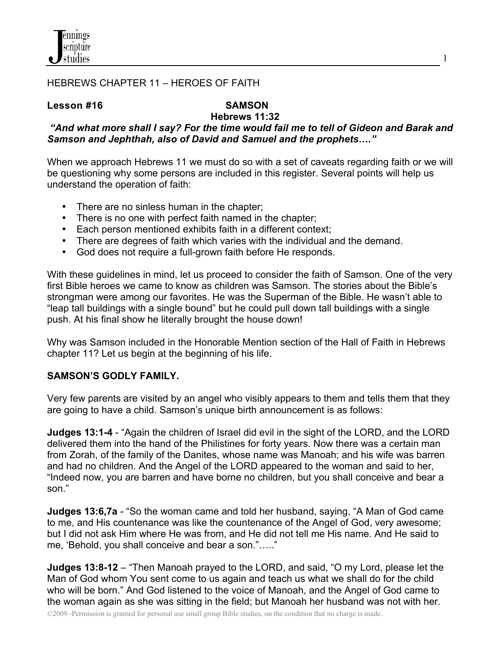

## HEBREWS CHAPTER 11 – HEROES OF FAITH

#### **Lesson #16****SAMSON**

# **Hebrews 11:32**

 *"And what more shall I say? For the time would fail me to tell of Gideon and Barak and Samson and Jephthah, also of David and Samuel and the prophets…."*

When we approach Hebrews 11 we must do so with a set of caveats regarding faith or we will be questioning why some persons are included in this register. Several points will help us understand the operation of faith:

- There are no sinless human in the chapter;
- There is no one with perfect faith named in the chapter;
- Each person mentioned exhibits faith in a different context;
- There are degrees of faith which varies with the individual and the demand.
- God does not require a full-grown faith before He responds.

With these guidelines in mind, let us proceed to consider the faith of Samson. One of the very first Bible heroes we came to know as children was Samson. The stories about the Bible's strongman were among our favorites. He was the Superman of the Bible. He wasn't able to "leap tall buildings with a single bound" but he could pull down tall buildings with a single push. At his final show he literally brought the house down!

Why was Samson included in the Honorable Mention section of the Hall of Faith in Hebrews chapter 11? Let us begin at the beginning of his life.

#### **SAMSON'S GODLY FAMILY.**

Very few parents are visited by an angel who visibly appears to them and tells them that they are going to have a child. Samson's unique birth announcement is as follows:

**Judges 13:1-4** - "Again the children of Israel did evil in the sight of the LORD, and the LORD delivered them into the hand of the Philistines for forty years. Now there was a certain man from Zorah, of the family of the Danites, whose name was Manoah; and his wife was barren and had no children. And the Angel of the LORD appeared to the woman and said to her, "Indeed now, you are barren and have borne no children, but you shall conceive and bear a son."

**Judges 13:6,7a** - "So the woman came and told her husband, saying, "A Man of God came to me, and His countenance was like the countenance of the Angel of God, very awesome; but I did not ask Him where He was from, and He did not tell me His name. And He said to me, 'Behold, you shall conceive and bear a son."….."

**Judges 13:8-12** – "Then Manoah prayed to the LORD, and said, "O my Lord, please let the Man of God whom You sent come to us again and teach us what we shall do for the child who will be born." And God listened to the voice of Manoah, and the Angel of God came to the woman again as she was sitting in the field; but Manoah her husband was not with her.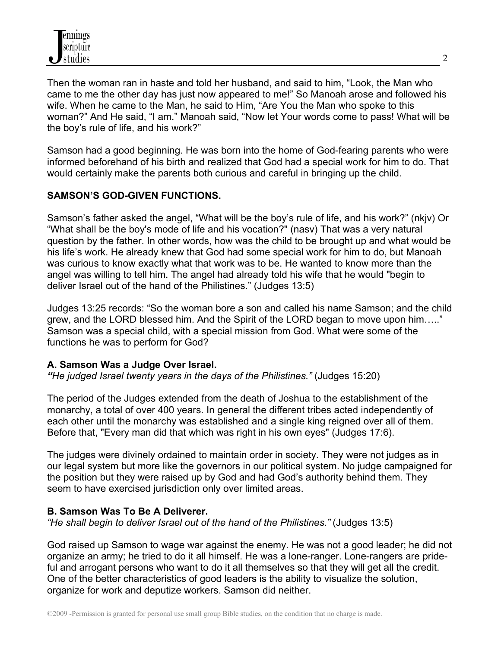Then the woman ran in haste and told her husband, and said to him, "Look, the Man who came to me the other day has just now appeared to me!" So Manoah arose and followed his wife. When he came to the Man, he said to Him, "Are You the Man who spoke to this woman?" And He said, "I am." Manoah said, "Now let Your words come to pass! What will be the boy's rule of life, and his work?"

Samson had a good beginning. He was born into the home of God-fearing parents who were informed beforehand of his birth and realized that God had a special work for him to do. That would certainly make the parents both curious and careful in bringing up the child.

# **SAMSON'S GOD-GIVEN FUNCTIONS.**

Samson's father asked the angel, "What will be the boy's rule of life, and his work?" (nkjv) Or "What shall be the boy's mode of life and his vocation?" (nasv) That was a very natural question by the father. In other words, how was the child to be brought up and what would be his life's work. He already knew that God had some special work for him to do, but Manoah was curious to know exactly what that work was to be. He wanted to know more than the angel was willing to tell him. The angel had already told his wife that he would "begin to deliver Israel out of the hand of the Philistines." (Judges 13:5)

Judges 13:25 records: "So the woman bore a son and called his name Samson; and the child grew, and the LORD blessed him. And the Spirit of the LORD began to move upon him….." Samson was a special child, with a special mission from God. What were some of the functions he was to perform for God?

#### **A. Samson Was a Judge Over Israel.**

*"He judged Israel twenty years in the days of the Philistines."* (Judges 15:20)

The period of the Judges extended from the death of Joshua to the establishment of the monarchy, a total of over 400 years. In general the different tribes acted independently of each other until the monarchy was established and a single king reigned over all of them. Before that, "Every man did that which was right in his own eyes" (Judges 17:6).

The judges were divinely ordained to maintain order in society. They were not judges as in our legal system but more like the governors in our political system. No judge campaigned for the position but they were raised up by God and had God's authority behind them. They seem to have exercised jurisdiction only over limited areas.

#### **B. Samson Was To Be A Deliverer.**

*"He shall begin to deliver Israel out of the hand of the Philistines."* (Judges 13:5)

God raised up Samson to wage war against the enemy. He was not a good leader; he did not organize an army; he tried to do it all himself. He was a lone-ranger. Lone-rangers are prideful and arrogant persons who want to do it all themselves so that they will get all the credit. One of the better characteristics of good leaders is the ability to visualize the solution, organize for work and deputize workers. Samson did neither.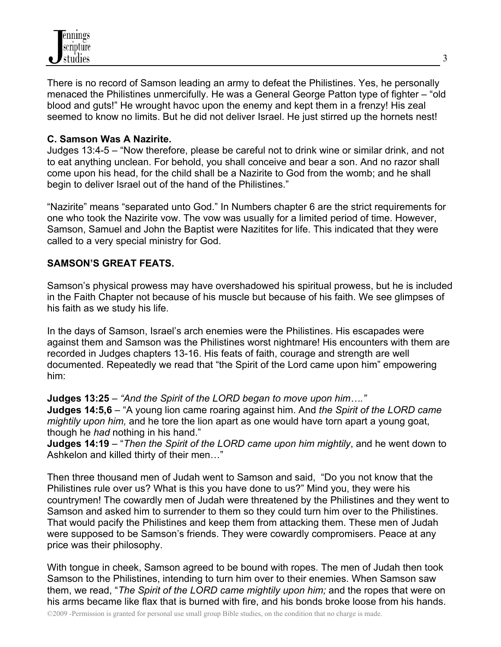

There is no record of Samson leading an army to defeat the Philistines. Yes, he personally menaced the Philistines unmercifully. He was a General George Patton type of fighter – "old blood and guts!" He wrought havoc upon the enemy and kept them in a frenzy! His zeal seemed to know no limits. But he did not deliver Israel. He just stirred up the hornets nest!

#### **C. Samson Was A Nazirite.**

Judges 13:4-5 – "Now therefore, please be careful not to drink wine or similar drink, and not to eat anything unclean. For behold, you shall conceive and bear a son. And no razor shall come upon his head, for the child shall be a Nazirite to God from the womb; and he shall begin to deliver Israel out of the hand of the Philistines."

"Nazirite" means "separated unto God." In Numbers chapter 6 are the strict requirements for one who took the Nazirite vow. The vow was usually for a limited period of time. However, Samson, Samuel and John the Baptist were Nazitites for life. This indicated that they were called to a very special ministry for God.

#### **SAMSON'S GREAT FEATS.**

Samson's physical prowess may have overshadowed his spiritual prowess, but he is included in the Faith Chapter not because of his muscle but because of his faith. We see glimpses of his faith as we study his life.

In the days of Samson, Israel's arch enemies were the Philistines. His escapades were against them and Samson was the Philistines worst nightmare! His encounters with them are recorded in Judges chapters 13-16. His feats of faith, courage and strength are well documented. Repeatedly we read that "the Spirit of the Lord came upon him" empowering him:

**Judges 13:25** – *"And the Spirit of the LORD began to move upon him…."* **Judges 14:5,6** – "A young lion came roaring against him. And *the Spirit of the LORD came mightily upon him,* and he tore the lion apart as one would have torn apart a young goat, though he *had* nothing in his hand."

**Judges 14:19** – "*Then the Spirit of the LORD came upon him mightily*, and he went down to Ashkelon and killed thirty of their men…"

Then three thousand men of Judah went to Samson and said, "Do you not know that the Philistines rule over us? What is this you have done to us?" Mind you, they were his countrymen! The cowardly men of Judah were threatened by the Philistines and they went to Samson and asked him to surrender to them so they could turn him over to the Philistines. That would pacify the Philistines and keep them from attacking them. These men of Judah were supposed to be Samson's friends. They were cowardly compromisers. Peace at any price was their philosophy.

With tongue in cheek, Samson agreed to be bound with ropes. The men of Judah then took Samson to the Philistines, intending to turn him over to their enemies. When Samson saw them, we read, "*The Spirit of the LORD came mightily upon him;* and the ropes that were on his arms became like flax that is burned with fire, and his bonds broke loose from his hands.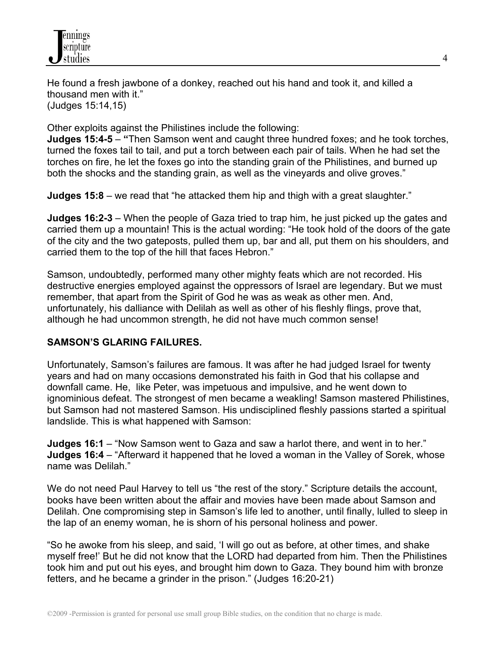He found a fresh jawbone of a donkey, reached out his hand and took it, and killed a thousand men with it." (Judges 15:14,15)

Other exploits against the Philistines include the following:

**Judges 15:4-5** – **"**Then Samson went and caught three hundred foxes; and he took torches, turned the foxes tail to tail, and put a torch between each pair of tails. When he had set the torches on fire, he let the foxes go into the standing grain of the Philistines, and burned up both the shocks and the standing grain, as well as the vineyards and olive groves."

**Judges 15:8** – we read that "he attacked them hip and thigh with a great slaughter."

**Judges 16:2-3** – When the people of Gaza tried to trap him, he just picked up the gates and carried them up a mountain! This is the actual wording: "He took hold of the doors of the gate of the city and the two gateposts, pulled them up, bar and all, put them on his shoulders, and carried them to the top of the hill that faces Hebron."

Samson, undoubtedly, performed many other mighty feats which are not recorded. His destructive energies employed against the oppressors of Israel are legendary. But we must remember, that apart from the Spirit of God he was as weak as other men. And, unfortunately, his dalliance with Delilah as well as other of his fleshly flings, prove that, although he had uncommon strength, he did not have much common sense!

# **SAMSON'S GLARING FAILURES.**

Unfortunately, Samson's failures are famous. It was after he had judged Israel for twenty years and had on many occasions demonstrated his faith in God that his collapse and downfall came. He, like Peter, was impetuous and impulsive, and he went down to ignominious defeat. The strongest of men became a weakling! Samson mastered Philistines, but Samson had not mastered Samson. His undisciplined fleshly passions started a spiritual landslide. This is what happened with Samson:

**Judges 16:1** – "Now Samson went to Gaza and saw a harlot there, and went in to her." **Judges 16:4** – "Afterward it happened that he loved a woman in the Valley of Sorek, whose name was Delilah."

We do not need Paul Harvey to tell us "the rest of the story." Scripture details the account, books have been written about the affair and movies have been made about Samson and Delilah. One compromising step in Samson's life led to another, until finally, lulled to sleep in the lap of an enemy woman, he is shorn of his personal holiness and power.

"So he awoke from his sleep, and said, 'I will go out as before, at other times, and shake myself free!' But he did not know that the LORD had departed from him. Then the Philistines took him and put out his eyes, and brought him down to Gaza. They bound him with bronze fetters, and he became a grinder in the prison." (Judges 16:20-21)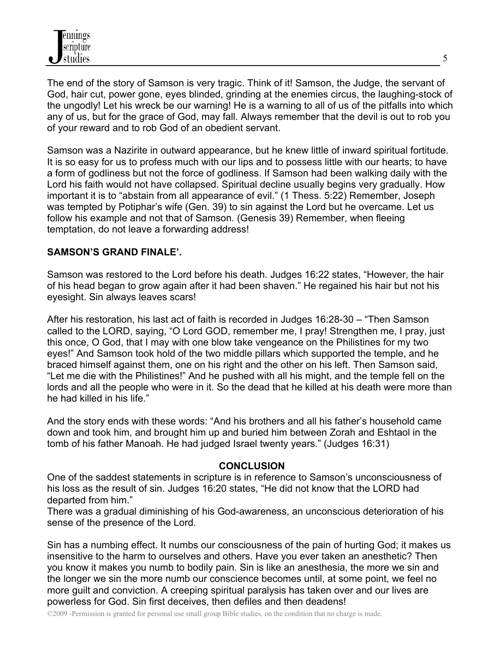The end of the story of Samson is very tragic. Think of it! Samson, the Judge, the servant of God, hair cut, power gone, eyes blinded, grinding at the enemies circus, the laughing-stock of the ungodly! Let his wreck be our warning! He is a warning to all of us of the pitfalls into which any of us, but for the grace of God, may fall. Always remember that the devil is out to rob you of your reward and to rob God of an obedient servant.

Samson was a Nazirite in outward appearance, but he knew little of inward spiritual fortitude. It is so easy for us to profess much with our lips and to possess little with our hearts; to have a form of godliness but not the force of godliness. If Samson had been walking daily with the Lord his faith would not have collapsed. Spiritual decline usually begins very gradually. How important it is to "abstain from all appearance of evil." (1 Thess. 5:22) Remember, Joseph was tempted by Potiphar's wife (Gen. 39) to sin against the Lord but he overcame. Let us follow his example and not that of Samson. (Genesis 39) Remember, when fleeing temptation, do not leave a forwarding address!

## **SAMSON'S GRAND FINALE'.**

Samson was restored to the Lord before his death. Judges 16:22 states, "However, the hair of his head began to grow again after it had been shaven." He regained his hair but not his eyesight. Sin always leaves scars!

After his restoration, his last act of faith is recorded in Judges 16:28-30 – "Then Samson called to the LORD, saying, "O Lord GOD, remember me, I pray! Strengthen me, I pray, just this once, O God, that I may with one blow take vengeance on the Philistines for my two eyes!" And Samson took hold of the two middle pillars which supported the temple, and he braced himself against them, one on his right and the other on his left. Then Samson said, "Let me die with the Philistines!" And he pushed with all his might, and the temple fell on the lords and all the people who were in it. So the dead that he killed at his death were more than he had killed in his life."

And the story ends with these words: "And his brothers and all his father's household came down and took him, and brought him up and buried him between Zorah and Eshtaol in the tomb of his father Manoah. He had judged Israel twenty years." (Judges 16:31)

#### **CONCLUSION**

One of the saddest statements in scripture is in reference to Samson's unconsciousness of his loss as the result of sin. Judges 16:20 states, "He did not know that the LORD had departed from him."

There was a gradual diminishing of his God-awareness, an unconscious deterioration of his sense of the presence of the Lord.

Sin has a numbing effect. It numbs our consciousness of the pain of hurting God; it makes us insensitive to the harm to ourselves and others. Have you ever taken an anesthetic? Then you know it makes you numb to bodily pain. Sin is like an anesthesia, the more we sin and the longer we sin the more numb our conscience becomes until, at some point, we feel no more guilt and conviction. A creeping spiritual paralysis has taken over and our lives are powerless for God. Sin first deceives, then defiles and then deadens!